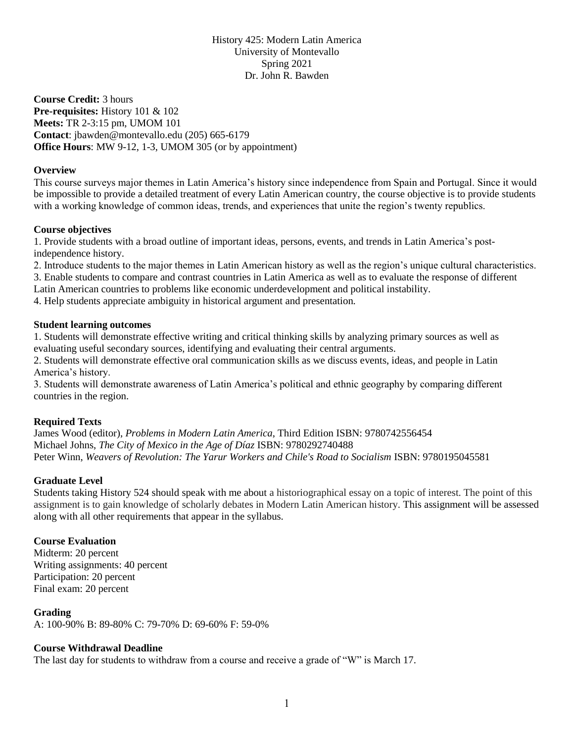History 425: Modern Latin America University of Montevallo Spring 2021 Dr. John R. Bawden

**Course Credit:** 3 hours **Pre-requisites:** History 101 & 102 **Meets:** TR 2-3:15 pm, UMOM 101 **Contact**: jbawden@montevallo.edu (205) 665-6179 **Office Hours**: MW 9-12, 1-3, UMOM 305 (or by appointment)

# **Overview**

This course surveys major themes in Latin America's history since independence from Spain and Portugal. Since it would be impossible to provide a detailed treatment of every Latin American country, the course objective is to provide students with a working knowledge of common ideas, trends, and experiences that unite the region's twenty republics.

# **Course objectives**

1. Provide students with a broad outline of important ideas, persons, events, and trends in Latin America's postindependence history.

2. Introduce students to the major themes in Latin American history as well as the region's unique cultural characteristics.

3. Enable students to compare and contrast countries in Latin America as well as to evaluate the response of different

Latin American countries to problems like economic underdevelopment and political instability.

4. Help students appreciate ambiguity in historical argument and presentation.

#### **Student learning outcomes**

1. Students will demonstrate effective writing and critical thinking skills by analyzing primary sources as well as evaluating useful secondary sources, identifying and evaluating their central arguments.

2. Students will demonstrate effective oral communication skills as we discuss events, ideas, and people in Latin America's history.

3. Students will demonstrate awareness of Latin America's political and ethnic geography by comparing different countries in the region.

## **Required Texts**

James Wood (editor), *Problems in Modern Latin America*, Third Edition ISBN: 9780742556454 Michael Johns, *The City of Mexico in the Age of Díaz* ISBN: 9780292740488 Peter Winn, *Weavers of Revolution: The Yarur Workers and Chile's Road to Socialism* ISBN: 9780195045581

## **Graduate Level**

Students taking History 524 should speak with me about a historiographical essay on a topic of interest. The point of this assignment is to gain knowledge of scholarly debates in Modern Latin American history. This assignment will be assessed along with all other requirements that appear in the syllabus.

## **Course Evaluation**

Midterm: 20 percent Writing assignments: 40 percent Participation: 20 percent Final exam: 20 percent

## **Grading**

A: 100-90% B: 89-80% C: 79-70% D: 69-60% F: 59-0%

## **Course Withdrawal Deadline**

The last day for students to withdraw from a course and receive a grade of "W" is March 17.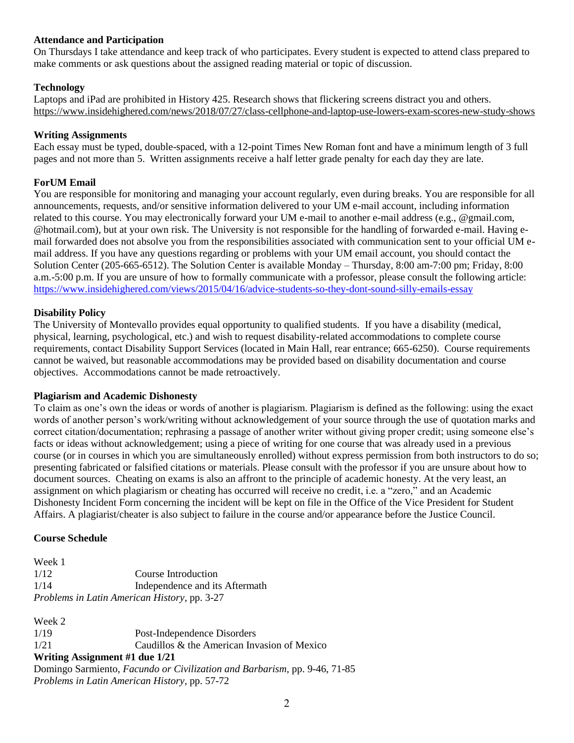## **Attendance and Participation**

On Thursdays I take attendance and keep track of who participates. Every student is expected to attend class prepared to make comments or ask questions about the assigned reading material or topic of discussion.

# **Technology**

Laptops and iPad are prohibited in History 425. Research shows that flickering screens distract you and others. <https://www.insidehighered.com/news/2018/07/27/class-cellphone-and-laptop-use-lowers-exam-scores-new-study-shows>

#### **Writing Assignments**

Each essay must be typed, double-spaced, with a 12-point Times New Roman font and have a minimum length of 3 full pages and not more than 5. Written assignments receive a half letter grade penalty for each day they are late.

## **ForUM Email**

You are responsible for monitoring and managing your account regularly, even during breaks. You are responsible for all announcements, requests, and/or sensitive information delivered to your UM e-mail account, including information related to this course. You may electronically forward your UM e-mail to another e-mail address (e.g., @gmail.com, @hotmail.com), but at your own risk. The University is not responsible for the handling of forwarded e-mail. Having email forwarded does not absolve you from the responsibilities associated with communication sent to your official UM email address. If you have any questions regarding or problems with your UM email account, you should contact the Solution Center (205-665-6512). The Solution Center is available Monday – Thursday, 8:00 am-7:00 pm; Friday, 8:00 a.m.-5:00 p.m. If you are unsure of how to formally communicate with a professor, please consult the following article: <https://www.insidehighered.com/views/2015/04/16/advice-students-so-they-dont-sound-silly-emails-essay>

#### **Disability Policy**

The University of Montevallo provides equal opportunity to qualified students. If you have a disability (medical, physical, learning, psychological, etc.) and wish to request disability-related accommodations to complete course requirements, contact Disability Support Services (located in Main Hall, rear entrance; 665-6250). Course requirements cannot be waived, but reasonable accommodations may be provided based on disability documentation and course objectives. Accommodations cannot be made retroactively.

#### **Plagiarism and Academic Dishonesty**

To claim as one's own the ideas or words of another is plagiarism. Plagiarism is defined as the following: using the exact words of another person's work/writing without acknowledgement of your source through the use of quotation marks and correct citation/documentation; rephrasing a passage of another writer without giving proper credit; using someone else's facts or ideas without acknowledgement; using a piece of writing for one course that was already used in a previous course (or in courses in which you are simultaneously enrolled) without express permission from both instructors to do so; presenting fabricated or falsified citations or materials. Please consult with the professor if you are unsure about how to document sources. Cheating on exams is also an affront to the principle of academic honesty. At the very least, an assignment on which plagiarism or cheating has occurred will receive no credit, i.e. a "zero," and an Academic Dishonesty Incident Form concerning the incident will be kept on file in the Office of the Vice President for Student Affairs. A plagiarist/cheater is also subject to failure in the course and/or appearance before the Justice Council.

#### **Course Schedule**

| Week 1 |                                              |
|--------|----------------------------------------------|
| 1/12   | Course Introduction                          |
| 1/14   | Independence and its Aftermath               |
|        | Problems in Latin American History, pp. 3-27 |

Week 2 1/19 Post-Independence Disorders  $1/21$  Caudillos & the American Invasion of Mexico **Writing Assignment #1 due 1/21** Domingo Sarmiento, *Facundo or Civilization and Barbarism,* pp. 9-46, 71-85 *Problems in Latin American History*, pp. 57-72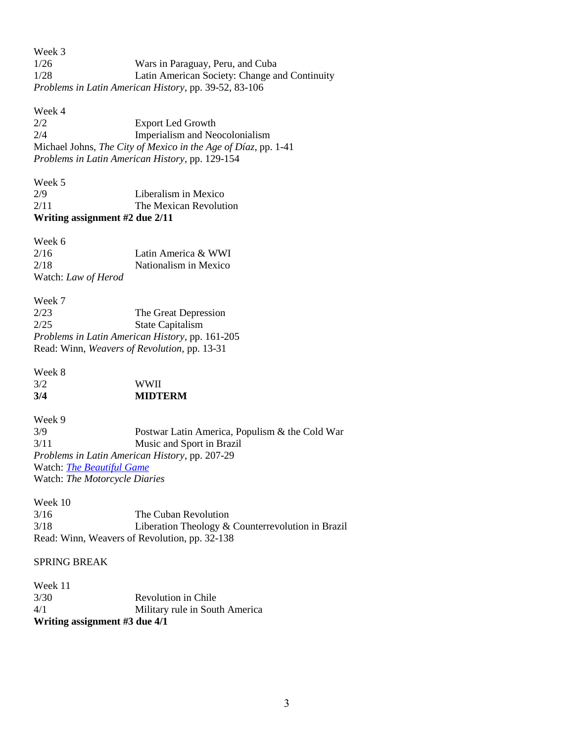Week 3 1/26 Wars in Paraguay, Peru, and Cuba 1/28 Latin American Society: Change and Continuity *Problems in Latin American History*, pp. 39-52, 83-106

Week 4 2/2 Export Led Growth 2/4 Imperialism and Neocolonialism Michael Johns, *The City of Mexico in the Age of Díaz*, pp. 1-41 *Problems in Latin American History*, pp. 129-154

| Week 5                         |                        |
|--------------------------------|------------------------|
| 2/9                            | Liberalism in Mexico   |
| 2/11                           | The Mexican Revolution |
| Writing assignment #2 due 2/11 |                        |

Week 6 2/16 Latin America & WWI 2/18 Nationalism in Mexico Watch: *Law of Herod*

Week 7 2/23 The Great Depression 2/25 State Capitalism *Problems in Latin American History*, pp. 161-205 Read: Winn, *Weavers of Revolution,* pp. 13-31

| 3/4    | <b>MIDTERM</b> |
|--------|----------------|
| 3/2    | <b>WWII</b>    |
| Week 8 |                |

Week 9 3/9 Postwar Latin America, Populism & the Cold War 3/11 Music and Sport in Brazil *Problems in Latin American History*, pp. 207-29 Watch: *[The Beautiful Game](https://www.dailymotion.com/video/x26xyzx)* Watch: *The Motorcycle Diaries*

Week 10 3/16 The Cuban Revolution 3/18 Liberation Theology & Counterrevolution in Brazil Read: Winn, Weavers of Revolution, pp. 32-138

#### SPRING BREAK

Week 11 3/30 Revolution in Chile 4/1 Military rule in South America **Writing assignment #3 due 4/1**